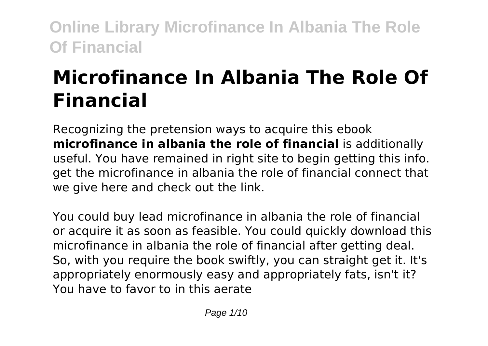# **Microfinance In Albania The Role Of Financial**

Recognizing the pretension ways to acquire this ebook **microfinance in albania the role of financial** is additionally useful. You have remained in right site to begin getting this info. get the microfinance in albania the role of financial connect that we give here and check out the link.

You could buy lead microfinance in albania the role of financial or acquire it as soon as feasible. You could quickly download this microfinance in albania the role of financial after getting deal. So, with you require the book swiftly, you can straight get it. It's appropriately enormously easy and appropriately fats, isn't it? You have to favor to in this aerate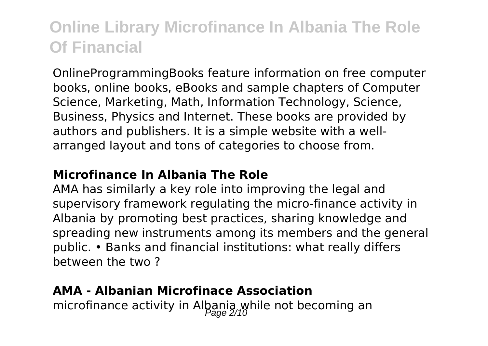OnlineProgrammingBooks feature information on free computer books, online books, eBooks and sample chapters of Computer Science, Marketing, Math, Information Technology, Science, Business, Physics and Internet. These books are provided by authors and publishers. It is a simple website with a wellarranged layout and tons of categories to choose from.

#### **Microfinance In Albania The Role**

AMA has similarly a key role into improving the legal and supervisory framework regulating the micro-finance activity in Albania by promoting best practices, sharing knowledge and spreading new instruments among its members and the general public. • Banks and financial institutions: what really differs between the two ?

#### **AMA - Albanian Microfinace Association**

microfinance activity in Albania while not becoming an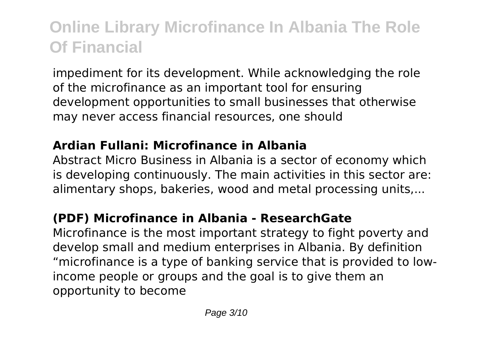impediment for its development. While acknowledging the role of the microfinance as an important tool for ensuring development opportunities to small businesses that otherwise may never access financial resources, one should

### **Ardian Fullani: Microfinance in Albania**

Abstract Micro Business in Albania is a sector of economy which is developing continuously. The main activities in this sector are: alimentary shops, bakeries, wood and metal processing units,...

### **(PDF) Microfinance in Albania - ResearchGate**

Microfinance is the most important strategy to fight poverty and develop small and medium enterprises in Albania. By definition "microfinance is a type of banking service that is provided to lowincome people or groups and the goal is to give them an opportunity to become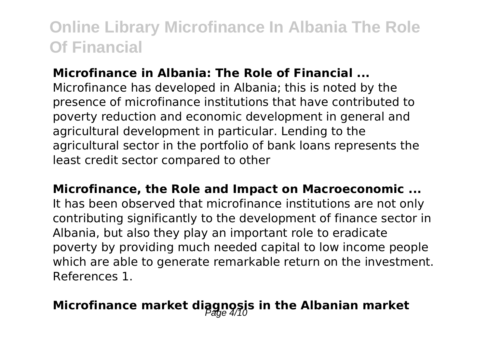### **Microfinance in Albania: The Role of Financial ...**

Microfinance has developed in Albania; this is noted by the presence of microfinance institutions that have contributed to poverty reduction and economic development in general and agricultural development in particular. Lending to the agricultural sector in the portfolio of bank loans represents the least credit sector compared to other

**Microfinance, the Role and Impact on Macroeconomic ...** It has been observed that microfinance institutions are not only contributing significantly to the development of finance sector in Albania, but also they play an important role to eradicate poverty by providing much needed capital to low income people which are able to generate remarkable return on the investment. References 1.

### **Microfinance market diagnosis in the Albanian market**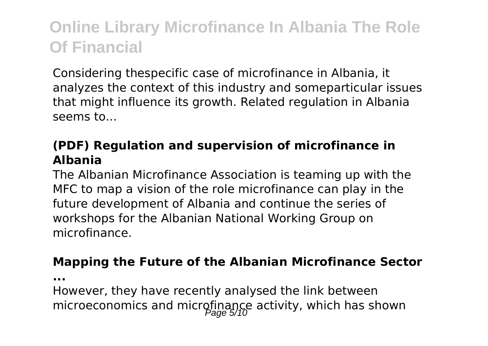Considering thespecific case of microfinance in Albania, it analyzes the context of this industry and someparticular issues that might influence its growth. Related regulation in Albania seems to...

### **(PDF) Regulation and supervision of microfinance in Albania**

The Albanian Microfinance Association is teaming up with the MFC to map a vision of the role microfinance can play in the future development of Albania and continue the series of workshops for the Albanian National Working Group on microfinance.

#### **Mapping the Future of the Albanian Microfinance Sector**

**...**

However, they have recently analysed the link between microeconomics and microfinance activity, which has shown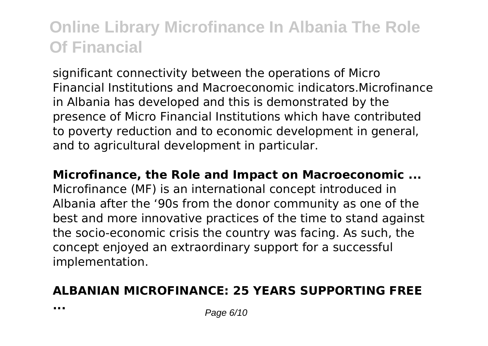significant connectivity between the operations of Micro Financial Institutions and Macroeconomic indicators.Microfinance in Albania has developed and this is demonstrated by the presence of Micro Financial Institutions which have contributed to poverty reduction and to economic development in general, and to agricultural development in particular.

**Microfinance, the Role and Impact on Macroeconomic ...** Microfinance (MF) is an international concept introduced in Albania after the '90s from the donor community as one of the best and more innovative practices of the time to stand against the socio-economic crisis the country was facing. As such, the concept enjoyed an extraordinary support for a successful implementation.

#### **ALBANIAN MICROFINANCE: 25 YEARS SUPPORTING FREE**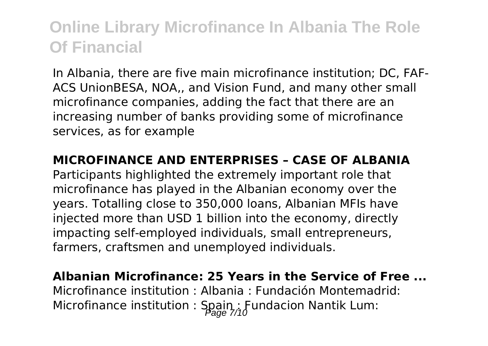In Albania, there are five main microfinance institution; DC, FAF-ACS UnionBESA, NOA,, and Vision Fund, and many other small microfinance companies, adding the fact that there are an increasing number of banks providing some of microfinance services, as for example

#### **MICROFINANCE AND ENTERPRISES – CASE OF ALBANIA**

Participants highlighted the extremely important role that microfinance has played in the Albanian economy over the years. Totalling close to 350,000 loans, Albanian MFIs have injected more than USD 1 billion into the economy, directly impacting self-employed individuals, small entrepreneurs, farmers, craftsmen and unemployed individuals.

#### **Albanian Microfinance: 25 Years in the Service of Free ...**

Microfinance institution : Albania : Fundación Montemadrid: Microfinance institution : Spain ; Fundacion Nantik Lum: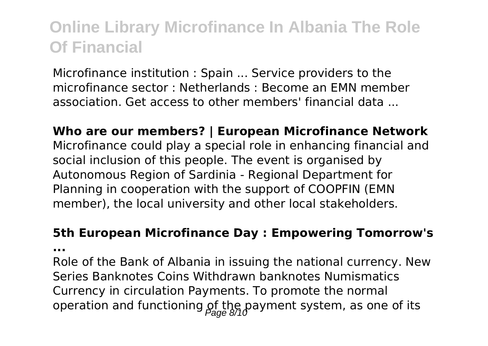Microfinance institution : Spain ... Service providers to the microfinance sector : Netherlands : Become an EMN member association. Get access to other members' financial data ...

**Who are our members? | European Microfinance Network** Microfinance could play a special role in enhancing financial and social inclusion of this people. The event is organised by Autonomous Region of Sardinia - Regional Department for Planning in cooperation with the support of COOPFIN (EMN member), the local university and other local stakeholders.

#### **5th European Microfinance Day : Empowering Tomorrow's**

**...**

Role of the Bank of Albania in issuing the national currency. New Series Banknotes Coins Withdrawn banknotes Numismatics Currency in circulation Payments. To promote the normal operation and functioning of the payment system, as one of its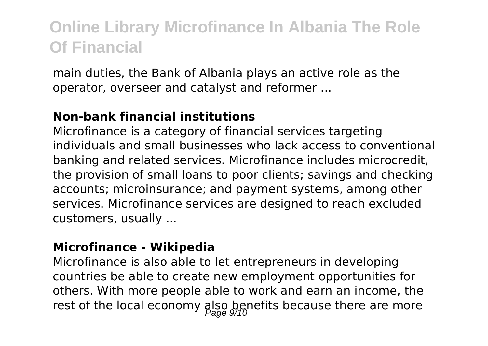main duties, the Bank of Albania plays an active role as the operator, overseer and catalyst and reformer ...

#### **Non-bank financial institutions**

Microfinance is a category of financial services targeting individuals and small businesses who lack access to conventional banking and related services. Microfinance includes microcredit, the provision of small loans to poor clients; savings and checking accounts; microinsurance; and payment systems, among other services. Microfinance services are designed to reach excluded customers, usually ...

#### **Microfinance - Wikipedia**

Microfinance is also able to let entrepreneurs in developing countries be able to create new employment opportunities for others. With more people able to work and earn an income, the rest of the local economy also benefits because there are more